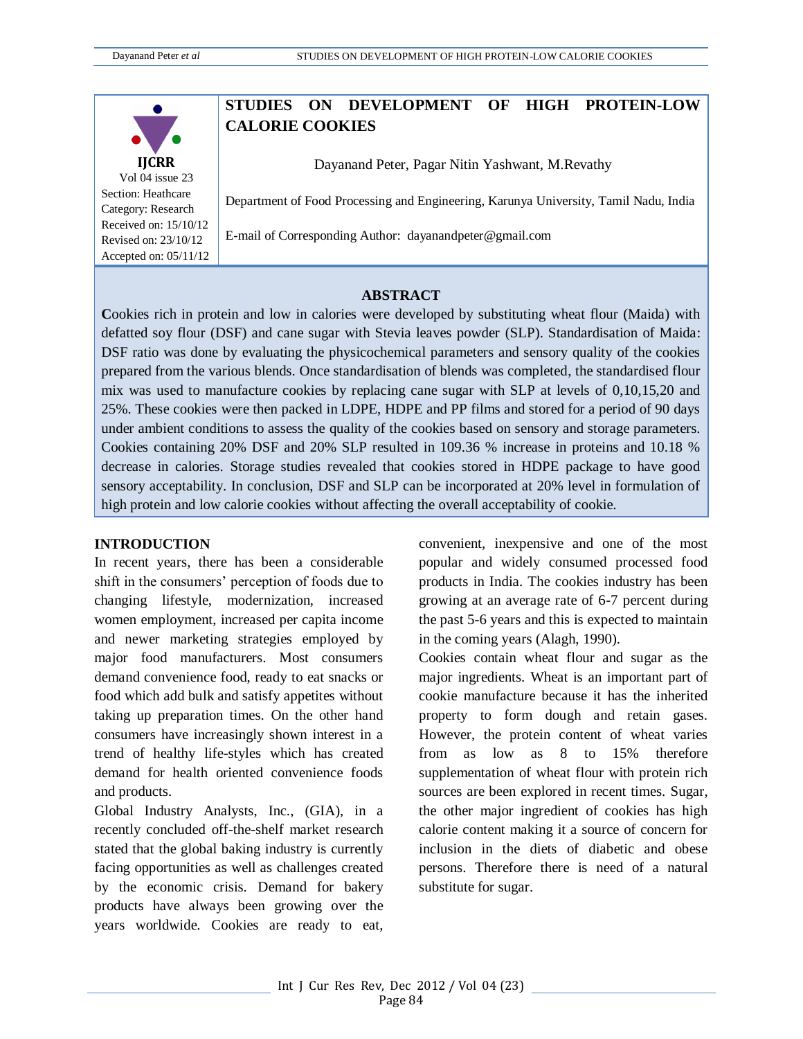

Vol 04 issue 23 Section: Heathcare Category: Research Received on: 15/10/12 Revised on: 23/10/12 Accepted on: 05/11/12

# **STUDIES ON DEVELOPMENT OF HIGH PROTEIN-LOW CALORIE COOKIES**

Dayanand Peter, Pagar Nitin Yashwant, M.Revathy

Department of Food Processing and Engineering, Karunya University, Tamil Nadu, India

E-mail of Corresponding Author: dayanandpeter@gmail.com

#### **ABSTRACT**

**C**ookies rich in protein and low in calories were developed by substituting wheat flour (Maida) with defatted soy flour (DSF) and cane sugar with Stevia leaves powder (SLP). Standardisation of Maida: DSF ratio was done by evaluating the physicochemical parameters and sensory quality of the cookies prepared from the various blends. Once standardisation of blends was completed, the standardised flour mix was used to manufacture cookies by replacing cane sugar with SLP at levels of 0,10,15,20 and 25%. These cookies were then packed in LDPE, HDPE and PP films and stored for a period of 90 days under ambient conditions to assess the quality of the cookies based on sensory and storage parameters. Cookies containing 20% DSF and 20% SLP resulted in 109.36 % increase in proteins and 10.18 % decrease in calories. Storage studies revealed that cookies stored in HDPE package to have good sensory acceptability. In conclusion, DSF and SLP can be incorporated at 20% level in formulation of high protein and low calorie cookies without affecting the overall acceptability of cookie.

#### **INTRODUCTION**

In recent years, there has been a considerable shift in the consumers' perception of foods due to changing lifestyle, modernization, increased women employment, increased per capita income and newer marketing strategies employed by major food manufacturers. Most consumers demand convenience food, ready to eat snacks or food which add bulk and satisfy appetites without taking up preparation times. On the other hand consumers have increasingly shown interest in a trend of healthy life-styles which has created demand for health oriented convenience foods and products.

Global Industry Analysts, Inc., (GIA), in a recently concluded off-the-shelf market research stated that the global baking industry is currently facing opportunities as well as challenges created by the economic crisis. Demand for bakery products have always been growing over the years worldwide. Cookies are ready to eat,

convenient, inexpensive and one of the most popular and widely consumed processed food products in India. The cookies industry has been growing at an average rate of 6-7 percent during the past 5-6 years and this is expected to maintain in the coming years (Alagh, 1990).

Cookies contain wheat flour and sugar as the major ingredients. Wheat is an important part of cookie manufacture because it has the inherited property to form dough and retain gases. However, the protein content of wheat varies from as low as 8 to 15% therefore supplementation of wheat flour with protein rich sources are been explored in recent times. Sugar, the other major ingredient of cookies has high calorie content making it a source of concern for inclusion in the diets of diabetic and obese persons. Therefore there is need of a natural substitute for sugar.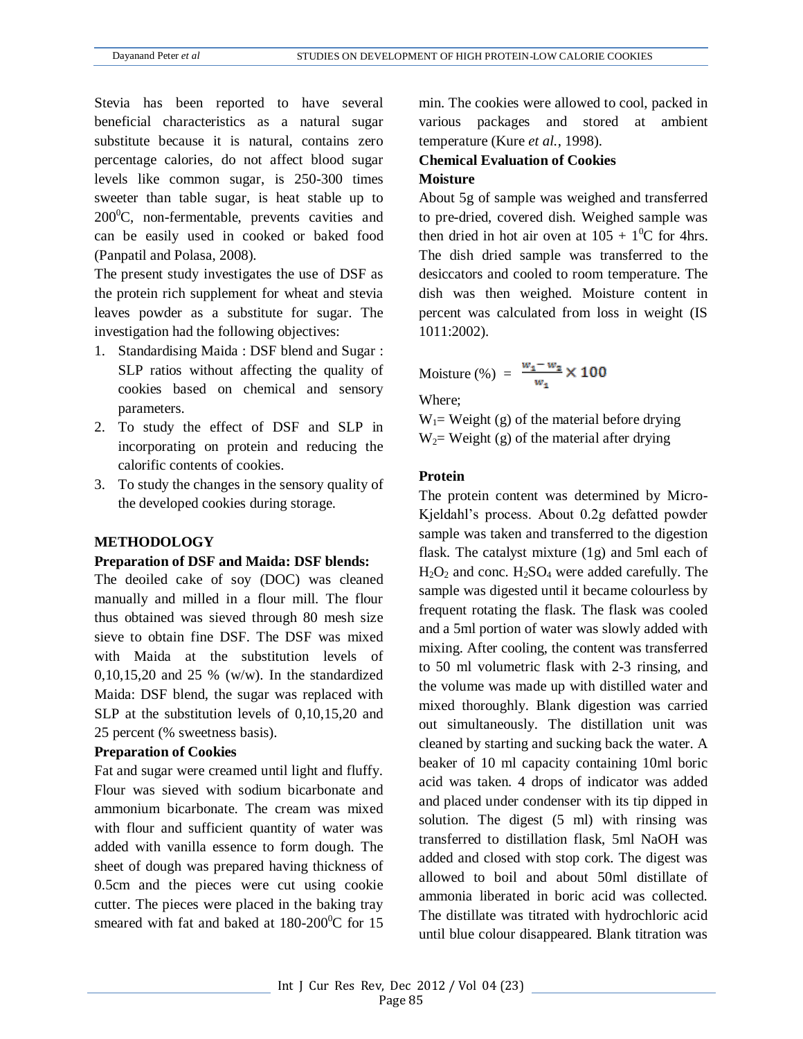Stevia has been reported to have several beneficial characteristics as a natural sugar substitute because it is natural, contains zero percentage calories, do not affect blood sugar levels like common sugar, is 250-300 times sweeter than table sugar, is heat stable up to  $200^{\circ}$ C, non-fermentable, prevents cavities and can be easily used in cooked or baked food (Panpatil and Polasa, 2008).

The present study investigates the use of DSF as the protein rich supplement for wheat and stevia leaves powder as a substitute for sugar. The investigation had the following objectives:

- 1. Standardising Maida : DSF blend and Sugar : SLP ratios without affecting the quality of cookies based on chemical and sensory parameters.
- 2. To study the effect of DSF and SLP in incorporating on protein and reducing the calorific contents of cookies.
- 3. To study the changes in the sensory quality of the developed cookies during storage.

#### **METHODOLOGY**

#### **Preparation of DSF and Maida: DSF blends:**

The deoiled cake of soy (DOC) was cleaned manually and milled in a flour mill. The flour thus obtained was sieved through 80 mesh size sieve to obtain fine DSF. The DSF was mixed with Maida at the substitution levels of 0,10,15,20 and 25 % (w/w). In the standardized Maida: DSF blend, the sugar was replaced with SLP at the substitution levels of 0,10,15,20 and 25 percent (% sweetness basis).

#### **Preparation of Cookies**

Fat and sugar were creamed until light and fluffy. Flour was sieved with sodium bicarbonate and ammonium bicarbonate. The cream was mixed with flour and sufficient quantity of water was added with vanilla essence to form dough. The sheet of dough was prepared having thickness of 0.5cm and the pieces were cut using cookie cutter. The pieces were placed in the baking tray smeared with fat and baked at  $180-200^{\circ}$ C for 15 min. The cookies were allowed to cool, packed in various packages and stored at ambient temperature (Kure *et al.*, 1998).

# **Chemical Evaluation of Cookies Moisture**

About 5g of sample was weighed and transferred to pre-dried, covered dish. Weighed sample was then dried in hot air oven at  $105 + 1^0C$  for 4hrs. The dish dried sample was transferred to the desiccators and cooled to room temperature. The dish was then weighed. Moisture content in percent was calculated from loss in weight (IS 1011:2002).

Moisture (%) = 
$$
\frac{w_1 - w_2}{w_1} \times 100
$$

Where;

 $W_1$  = Weight (g) of the material before drying  $W_2$ = Weight (g) of the material after drying

## **Protein**

The protein content was determined by Micro-Kjeldahl's process. About 0.2g defatted powder sample was taken and transferred to the digestion flask. The catalyst mixture (1g) and 5ml each of  $H_2O_2$  and conc.  $H_2SO_4$  were added carefully. The sample was digested until it became colourless by frequent rotating the flask. The flask was cooled and a 5ml portion of water was slowly added with mixing. After cooling, the content was transferred to 50 ml volumetric flask with 2-3 rinsing, and the volume was made up with distilled water and mixed thoroughly. Blank digestion was carried out simultaneously. The distillation unit was cleaned by starting and sucking back the water. A beaker of 10 ml capacity containing 10ml boric acid was taken. 4 drops of indicator was added and placed under condenser with its tip dipped in solution. The digest (5 ml) with rinsing was transferred to distillation flask, 5ml NaOH was added and closed with stop cork. The digest was allowed to boil and about 50ml distillate of ammonia liberated in boric acid was collected. The distillate was titrated with hydrochloric acid until blue colour disappeared. Blank titration was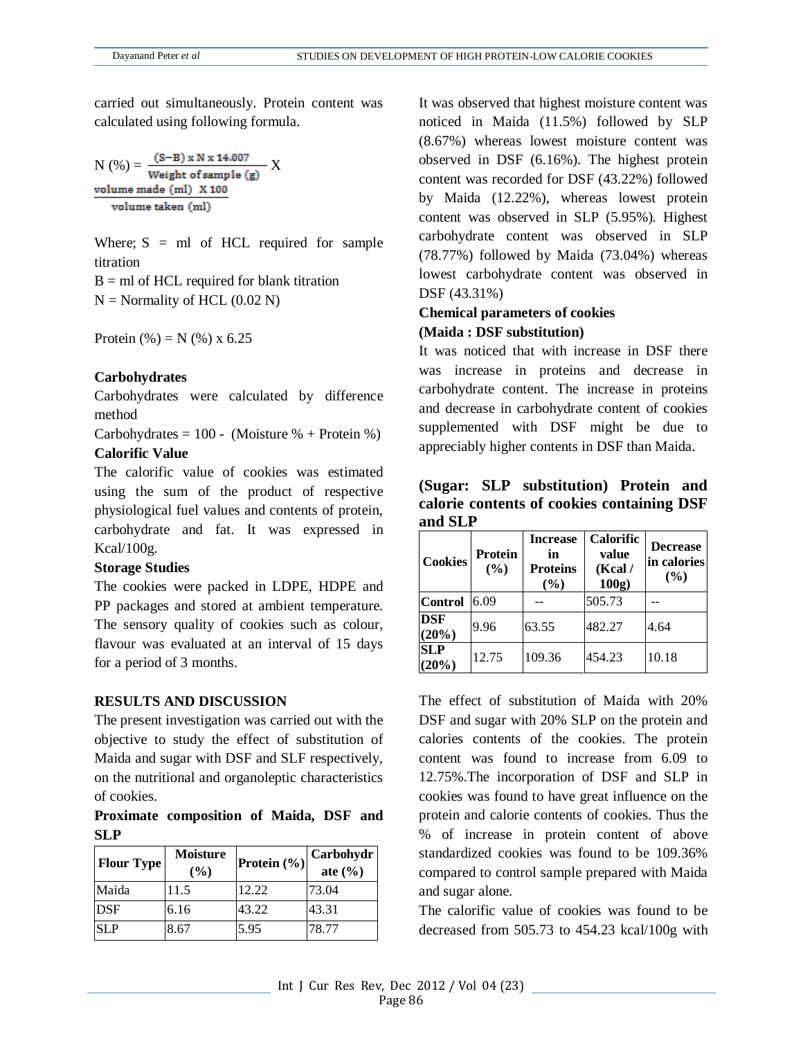carried out simultaneously. Protein content was calculated using following formula.

$$
N(\%) = \frac{(S-B) \times N \times 14.007}{Weight of sample (g)} \times \frac{\text{volume made (ml)} \times 100}{volume taken (ml)}
$$

Where;  $S = ml$  of HCL required for sample titration

 $B = ml$  of HCL required for blank titration  $N =$  Normality of HCL (0.02 N)

Protein  $(\% ) = N (\% ) x 6.25$ 

# **Carbohydrates**

Carbohydrates were calculated by difference method

Carbohydrates =  $100 - (Mojsture % + Protein %)$ **Calorific Value**

The calorific value of cookies was estimated using the sum of the product of respective physiological fuel values and contents of protein, carbohydrate and fat. It was expressed in Kcal/100g.

## **Storage Studies**

The cookies were packed in LDPE, HDPE and PP packages and stored at ambient temperature. The sensory quality of cookies such as colour, flavour was evaluated at an interval of 15 days for a period of 3 months.

## **RESULTS AND DISCUSSION**

The present investigation was carried out with the objective to study the effect of substitution of Maida and sugar with DSF and SLF respectively, on the nutritional and organoleptic characteristics of cookies.

# **Proximate composition of Maida, DSF and SLP**

| <b>Flour Type</b> | <b>Moisture</b><br>$(\%)$ | Protein $(\% )$ | Carbohydr<br>ate $(\%$ |
|-------------------|---------------------------|-----------------|------------------------|
| Maida             | 11.5                      | 12.22           | 73.04                  |
| <b>DSF</b>        | 6.16                      | 43.22           | 43.31                  |
| <b>SLP</b>        | 8.67                      | 5.95            | 78.77                  |

It was observed that highest moisture content was noticed in Maida (11.5%) followed by SLP (8.67%) whereas lowest moisture content was observed in DSF (6.16%). The highest protein content was recorded for DSF (43.22%) followed by Maida (12.22%), whereas lowest protein content was observed in SLP (5.95%). Highest carbohydrate content was observed in SLP (78.77%) followed by Maida (73.04%) whereas lowest carbohydrate content was observed in DSF (43.31%)

# **Chemical parameters of cookies (Maida : DSF substitution)**

It was noticed that with increase in DSF there was increase in proteins and decrease in carbohydrate content. The increase in proteins and decrease in carbohydrate content of cookies supplemented with DSF might be due to appreciably higher contents in DSF than Maida.

**(Sugar: SLP substitution) Protein and calorie contents of cookies containing DSF and SLP**

| <b>Cookies</b>      | <b>Protein</b><br>(%) | <b>Increase</b><br>in<br><b>Proteins</b><br>(%) | <b>Calorific</b><br>value<br>(Kcal/<br>100g | <b>Decrease</b><br>in calories<br>(%) |
|---------------------|-----------------------|-------------------------------------------------|---------------------------------------------|---------------------------------------|
| <b>Control</b>      | 6.09                  |                                                 | 505.73                                      |                                       |
| <b>DSF</b><br>(20%) | 9.96                  | 63.55                                           | 482.27                                      | 4.64                                  |
| <b>SLP</b><br>(20%) | 12.75                 | 109.36                                          | 454.23                                      | 10.18                                 |

The effect of substitution of Maida with 20% DSF and sugar with 20% SLP on the protein and calories contents of the cookies. The protein content was found to increase from 6.09 to 12.75%.The incorporation of DSF and SLP in cookies was found to have great influence on the protein and calorie contents of cookies. Thus the % of increase in protein content of above standardized cookies was found to be 109.36% compared to control sample prepared with Maida and sugar alone.

The calorific value of cookies was found to be decreased from 505.73 to 454.23 kcal/100g with